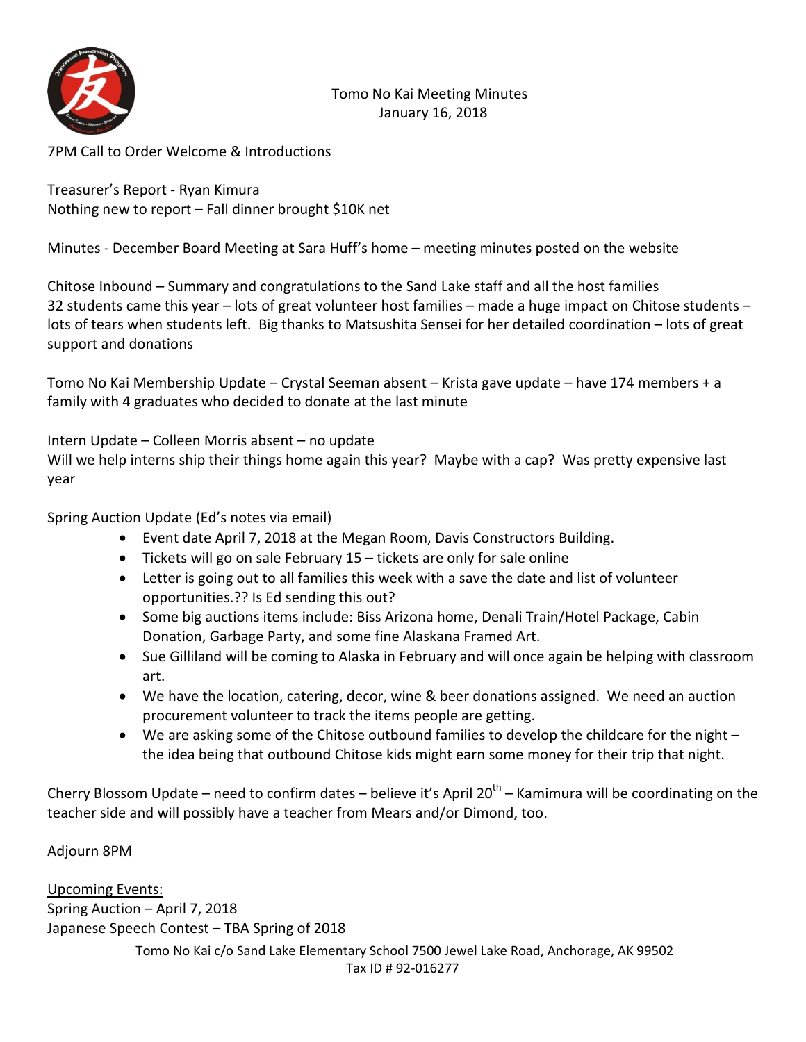

## Tomo No Kai Meeting Minutes January 16, 2018

7PM Call to Order Welcome & Introductions

Treasurer's Report - Ryan Kimura Nothing new to report – Fall dinner brought \$10K net

Minutes - December Board Meeting at Sara Huff's home – meeting minutes posted on the website

Chitose Inbound – Summary and congratulations to the Sand Lake staff and all the host families 32 students came this year – lots of great volunteer host families – made a huge impact on Chitose students – lots of tears when students left. Big thanks to Matsushita Sensei for her detailed coordination – lots of great support and donations

Tomo No Kai Membership Update – Crystal Seeman absent – Krista gave update – have 174 members + a family with 4 graduates who decided to donate at the last minute

Intern Update – Colleen Morris absent – no update

Will we help interns ship their things home again this year? Maybe with a cap? Was pretty expensive last year

Spring Auction Update (Ed's notes via email)

- Event date April 7, 2018 at the Megan Room, Davis Constructors Building.
- Tickets will go on sale February 15 tickets are only for sale online
- Letter is going out to all families this week with a save the date and list of volunteer opportunities.?? Is Ed sending this out?
- Some big auctions items include: Biss Arizona home, Denali Train/Hotel Package, Cabin Donation, Garbage Party, and some fine Alaskana Framed Art.
- Sue Gilliland will be coming to Alaska in February and will once again be helping with classroom art.
- We have the location, catering, decor, wine & beer donations assigned. We need an auction procurement volunteer to track the items people are getting.
- We are asking some of the Chitose outbound families to develop the childcare for the night the idea being that outbound Chitose kids might earn some money for their trip that night.

Cherry Blossom Update – need to confirm dates – believe it's April 20<sup>th</sup> – Kamimura will be coordinating on the teacher side and will possibly have a teacher from Mears and/or Dimond, too.

Adjourn 8PM

 Tomo No Kai c/o Sand Lake Elementary School 7500 Jewel Lake Road, Anchorage, AK 99502 Tax ID # 92-016277 Upcoming Events: Spring Auction – April 7, 2018 Japanese Speech Contest – TBA Spring of 2018